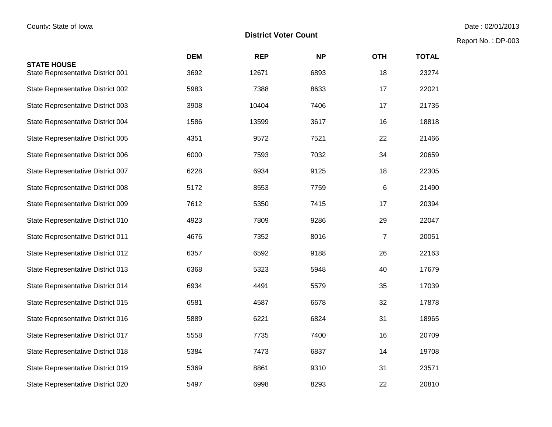Report No. : DP-003

|                                                         | <b>DEM</b> | <b>REP</b> | <b>NP</b> | <b>OTH</b> | <b>TOTAL</b> |
|---------------------------------------------------------|------------|------------|-----------|------------|--------------|
| <b>STATE HOUSE</b><br>State Representative District 001 | 3692       | 12671      | 6893      | 18         | 23274        |
| State Representative District 002                       | 5983       | 7388       | 8633      | 17         | 22021        |
| State Representative District 003                       | 3908       | 10404      | 7406      | 17         | 21735        |
| State Representative District 004                       | 1586       | 13599      | 3617      | 16         | 18818        |
| State Representative District 005                       | 4351       | 9572       | 7521      | 22         | 21466        |
| State Representative District 006                       | 6000       | 7593       | 7032      | 34         | 20659        |
| State Representative District 007                       | 6228       | 6934       | 9125      | 18         | 22305        |
| State Representative District 008                       | 5172       | 8553       | 7759      | 6          | 21490        |
| State Representative District 009                       | 7612       | 5350       | 7415      | 17         | 20394        |
| State Representative District 010                       | 4923       | 7809       | 9286      | 29         | 22047        |
| State Representative District 011                       | 4676       | 7352       | 8016      | 7          | 20051        |
| State Representative District 012                       | 6357       | 6592       | 9188      | 26         | 22163        |
| State Representative District 013                       | 6368       | 5323       | 5948      | 40         | 17679        |
| State Representative District 014                       | 6934       | 4491       | 5579      | 35         | 17039        |
| State Representative District 015                       | 6581       | 4587       | 6678      | 32         | 17878        |
| State Representative District 016                       | 5889       | 6221       | 6824      | 31         | 18965        |
| State Representative District 017                       | 5558       | 7735       | 7400      | 16         | 20709        |
| State Representative District 018                       | 5384       | 7473       | 6837      | 14         | 19708        |
| State Representative District 019                       | 5369       | 8861       | 9310      | 31         | 23571        |
| State Representative District 020                       | 5497       | 6998       | 8293      | 22         | 20810        |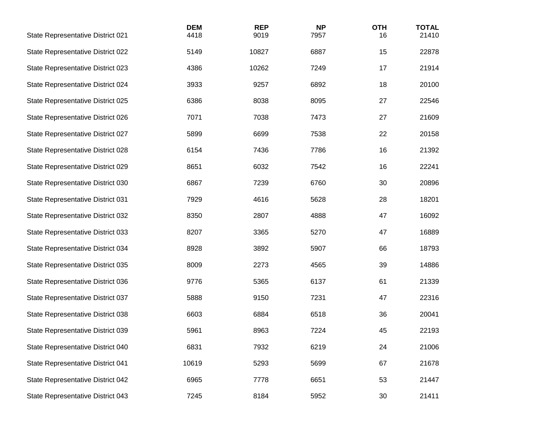| State Representative District 021 | <b>DEM</b><br>4418 | <b>REP</b><br>9019 | <b>NP</b><br>7957 | <b>OTH</b><br>16 | <b>TOTAL</b><br>21410 |
|-----------------------------------|--------------------|--------------------|-------------------|------------------|-----------------------|
| State Representative District 022 | 5149               | 10827              | 6887              | 15               | 22878                 |
| State Representative District 023 | 4386               | 10262              | 7249              | 17               | 21914                 |
| State Representative District 024 | 3933               | 9257               | 6892              | 18               | 20100                 |
| State Representative District 025 | 6386               | 8038               | 8095              | 27               | 22546                 |
| State Representative District 026 | 7071               | 7038               | 7473              | 27               | 21609                 |
| State Representative District 027 | 5899               | 6699               | 7538              | 22               | 20158                 |
| State Representative District 028 | 6154               | 7436               | 7786              | 16               | 21392                 |
| State Representative District 029 | 8651               | 6032               | 7542              | 16               | 22241                 |
| State Representative District 030 | 6867               | 7239               | 6760              | 30               | 20896                 |
| State Representative District 031 | 7929               | 4616               | 5628              | 28               | 18201                 |
| State Representative District 032 | 8350               | 2807               | 4888              | 47               | 16092                 |
| State Representative District 033 | 8207               | 3365               | 5270              | 47               | 16889                 |
| State Representative District 034 | 8928               | 3892               | 5907              | 66               | 18793                 |
| State Representative District 035 | 8009               | 2273               | 4565              | 39               | 14886                 |
| State Representative District 036 | 9776               | 5365               | 6137              | 61               | 21339                 |
| State Representative District 037 | 5888               | 9150               | 7231              | 47               | 22316                 |
| State Representative District 038 | 6603               | 6884               | 6518              | 36               | 20041                 |
| State Representative District 039 | 5961               | 8963               | 7224              | 45               | 22193                 |
| State Representative District 040 | 6831               | 7932               | 6219              | 24               | 21006                 |
| State Representative District 041 | 10619              | 5293               | 5699              | 67               | 21678                 |
| State Representative District 042 | 6965               | 7778               | 6651              | 53               | 21447                 |
| State Representative District 043 | 7245               | 8184               | 5952              | 30               | 21411                 |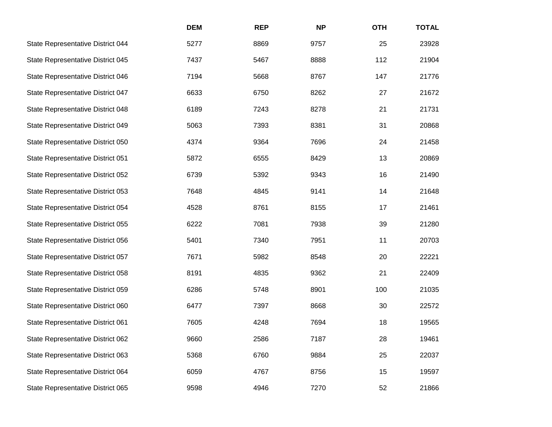|                                   | <b>DEM</b> | <b>REP</b> | <b>NP</b> | <b>OTH</b> | <b>TOTAL</b> |
|-----------------------------------|------------|------------|-----------|------------|--------------|
| State Representative District 044 | 5277       | 8869       | 9757      | 25         | 23928        |
| State Representative District 045 | 7437       | 5467       | 8888      | 112        | 21904        |
| State Representative District 046 | 7194       | 5668       | 8767      | 147        | 21776        |
| State Representative District 047 | 6633       | 6750       | 8262      | 27         | 21672        |
| State Representative District 048 | 6189       | 7243       | 8278      | 21         | 21731        |
| State Representative District 049 | 5063       | 7393       | 8381      | 31         | 20868        |
| State Representative District 050 | 4374       | 9364       | 7696      | 24         | 21458        |
| State Representative District 051 | 5872       | 6555       | 8429      | 13         | 20869        |
| State Representative District 052 | 6739       | 5392       | 9343      | 16         | 21490        |
| State Representative District 053 | 7648       | 4845       | 9141      | 14         | 21648        |
| State Representative District 054 | 4528       | 8761       | 8155      | 17         | 21461        |
| State Representative District 055 | 6222       | 7081       | 7938      | 39         | 21280        |
| State Representative District 056 | 5401       | 7340       | 7951      | 11         | 20703        |
| State Representative District 057 | 7671       | 5982       | 8548      | 20         | 22221        |
| State Representative District 058 | 8191       | 4835       | 9362      | 21         | 22409        |
| State Representative District 059 | 6286       | 5748       | 8901      | 100        | 21035        |
| State Representative District 060 | 6477       | 7397       | 8668      | 30         | 22572        |
| State Representative District 061 | 7605       | 4248       | 7694      | 18         | 19565        |
| State Representative District 062 | 9660       | 2586       | 7187      | 28         | 19461        |
| State Representative District 063 | 5368       | 6760       | 9884      | 25         | 22037        |
| State Representative District 064 | 6059       | 4767       | 8756      | 15         | 19597        |
| State Representative District 065 | 9598       | 4946       | 7270      | 52         | 21866        |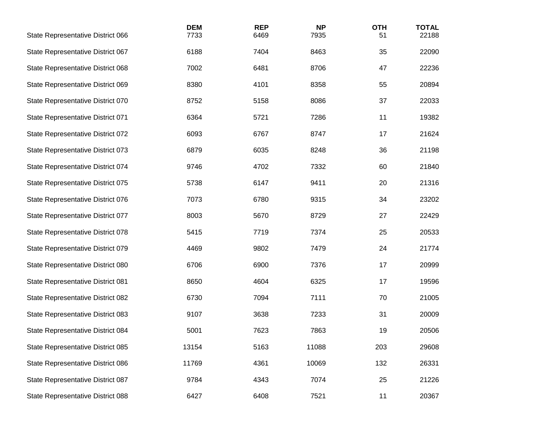| State Representative District 066 | <b>DEM</b><br>7733 | <b>REP</b><br>6469 | <b>NP</b><br>7935 | <b>OTH</b><br>51 | <b>TOTAL</b><br>22188 |
|-----------------------------------|--------------------|--------------------|-------------------|------------------|-----------------------|
| State Representative District 067 | 6188               | 7404               | 8463              | 35               | 22090                 |
| State Representative District 068 | 7002               | 6481               | 8706              | 47               | 22236                 |
| State Representative District 069 | 8380               | 4101               | 8358              | 55               | 20894                 |
| State Representative District 070 | 8752               | 5158               | 8086              | 37               | 22033                 |
| State Representative District 071 | 6364               | 5721               | 7286              | 11               | 19382                 |
| State Representative District 072 | 6093               | 6767               | 8747              | 17               | 21624                 |
| State Representative District 073 | 6879               | 6035               | 8248              | 36               | 21198                 |
| State Representative District 074 | 9746               | 4702               | 7332              | 60               | 21840                 |
| State Representative District 075 | 5738               | 6147               | 9411              | 20               | 21316                 |
| State Representative District 076 | 7073               | 6780               | 9315              | 34               | 23202                 |
| State Representative District 077 | 8003               | 5670               | 8729              | 27               | 22429                 |
| State Representative District 078 | 5415               | 7719               | 7374              | 25               | 20533                 |
| State Representative District 079 | 4469               | 9802               | 7479              | 24               | 21774                 |
| State Representative District 080 | 6706               | 6900               | 7376              | 17               | 20999                 |
| State Representative District 081 | 8650               | 4604               | 6325              | 17               | 19596                 |
| State Representative District 082 | 6730               | 7094               | 7111              | 70               | 21005                 |
| State Representative District 083 | 9107               | 3638               | 7233              | 31               | 20009                 |
| State Representative District 084 | 5001               | 7623               | 7863              | 19               | 20506                 |
| State Representative District 085 | 13154              | 5163               | 11088             | 203              | 29608                 |
| State Representative District 086 | 11769              | 4361               | 10069             | 132              | 26331                 |
| State Representative District 087 | 9784               | 4343               | 7074              | 25               | 21226                 |
| State Representative District 088 | 6427               | 6408               | 7521              | 11               | 20367                 |